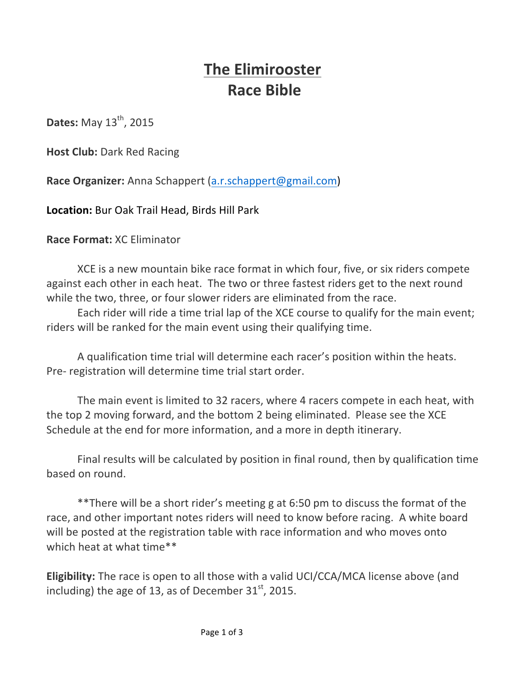# **The Elimirooster Race Bible**

**Dates:** May 13<sup>th</sup>, 2015

**Host Club: Dark Red Racing** 

**Race Organizer:** Anna Schappert (a.r.schappert@gmail.com)

**Location:** Bur Oak Trail Head, Birds Hill Park

**Race Format:** XC Eliminator

XCE is a new mountain bike race format in which four, five, or six riders compete against each other in each heat. The two or three fastest riders get to the next round while the two, three, or four slower riders are eliminated from the race.

Each rider will ride a time trial lap of the XCE course to qualify for the main event; riders will be ranked for the main event using their qualifying time.

A qualification time trial will determine each racer's position within the heats. Pre- registration will determine time trial start order.

The main event is limited to 32 racers, where 4 racers compete in each heat, with the top 2 moving forward, and the bottom 2 being eliminated. Please see the XCE Schedule at the end for more information, and a more in depth itinerary.

Final results will be calculated by position in final round, then by qualification time based on round.

\*\*There will be a short rider's meeting g at 6:50 pm to discuss the format of the race, and other important notes riders will need to know before racing. A white board will be posted at the registration table with race information and who moves onto which heat at what time\*\*

**Eligibility:** The race is open to all those with a valid UCI/CCA/MCA license above (and including) the age of 13, as of December  $31<sup>st</sup>$ , 2015.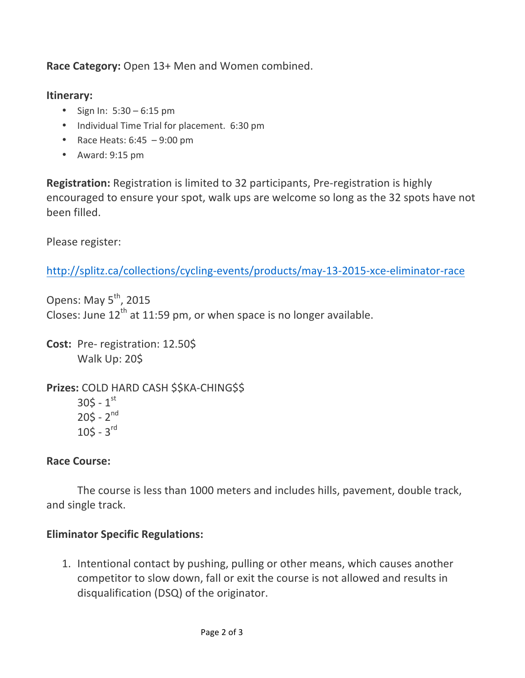**Race Category:** Open 13+ Men and Women combined.

### **Itinerary:**

- Sign In:  $5:30 6:15$  pm
- Individual Time Trial for placement. 6:30 pm
- Race Heats:  $6:45 9:00$  pm
- Award: 9:15 pm

**Registration:** Registration is limited to 32 participants, Pre-registration is highly encouraged to ensure your spot, walk ups are welcome so long as the 32 spots have not been filled. 

Please register:

http://splitz.ca/collections/cycling-events/products/may-13-2015-xce-eliminator-race

Opens: May  $5^{th}$ , 2015 Closes: June  $12<sup>th</sup>$  at 11:59 pm, or when space is no longer available.

**Cost:** Pre- registration: 12.50\$ Walk Up: 20\$

**Prizes: COLD HARD CASH \$\$KA-CHING\$\$**  $305 - 1^{st}$  $205 - 2^{nd}$  $105 - 3^{rd}$ 

## **Race Course:**

The course is less than 1000 meters and includes hills, pavement, double track, and single track.

## **Eliminator Specific Regulations:**

1. Intentional contact by pushing, pulling or other means, which causes another competitor to slow down, fall or exit the course is not allowed and results in disqualification (DSQ) of the originator.